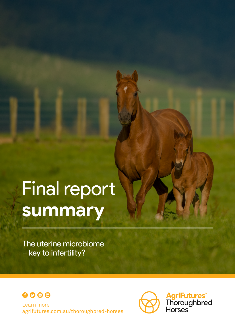# Final report **summary**

The uterine microbiome – key to infertility?





**AgriFutures<sup>®</sup>**<br>Thoroughbred<br>Horses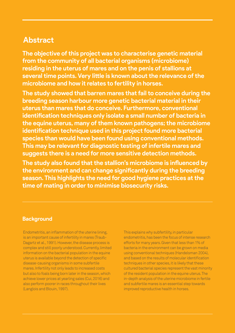## **Abstract**

**The objective of this project was to characterise genetic material from the community of all bacterial organisms (microbiome) residing in the uterus of mares and on the penis of stallions at several time points. Very little is known about the relevance of the microbiome and how it relates to fertility in horses.**

**The study showed that barren mares that fail to conceive during the breeding season harbour more genetic bacterial material in their uterus than mares that do conceive. Furthermore, conventional identification techniques only isolate a small number of bacteria in the equine uterus, many of them known pathogens; the microbiome identification technique used in this project found more bacterial species than would have been found using conventional methods. This may be relevant for diagnostic testing of infertile mares and suggests there is a need for more sensitive detection methods.**

**The study also found that the stallion's microbiome is influenced by the environment and can change significantly during the breeding season. This highlights the need for good hygiene practices at the time of mating in order to minimise biosecurity risks.**

#### **Background**

Endometritis, an inflammation of the uterine lining, is an important cause of infertility in mares (Traub-Dagartz et al., 1991). However, the disease process is complex and still poorly understood. Currently, limited information on the bacterial population in the equine uterus is available beyond the detection of specific disease-causing organisms in some subfertile mares. Infertility not only leads to increased costs but also to foals being born later in the season, which achieve lower prices at yearling sales (Cui, 2016) and also perform poorer in races throughout their lives (Langlois and Blouin, 1997).

This explains why subfertility, in particular endometritis, has been the focus of intense research efforts for many years. Given that less than 1% of bacteria in the environment can be grown on media using conventional techniques (Handelsman 2004), and based on the results of molecular identification techniques in other species, it is likely that these cultured bacterial species represent the vast minority of the resident population in the equine uterus. The in-depth analysis of the uterine microbiome in fertile and subfertile mares is an essential step towards improved reproductive health in horses.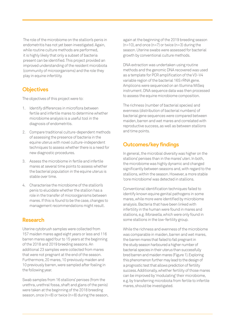The role of the microbiome on the stallion's penis in endometritis has not yet been investigated. Again, while routine culture methods are performed, it is highly likely that only a subset of bacteria present can be identified. This project provided an improved understanding of the resident microbiota (community of microorganisms) and the role they play in equine infertility.

### **Objectives**

The objectives of this project were to:

- 1. Identify differences in microflora between fertile and infertile mares to determine whether microbiome analysis is a useful tool in the diagnosis of endometritis.
- 2. Compare traditional culture-dependent methods of assessing the presence of bacteria in the equine uterus with novel culture-independent techniques to assess whether there is a need for new diagnostic procedures.
- 3. Assess the microbiome in fertile and infertile mares at several time points to assess whether the bacterial population in the equine uterus is stable over time.
- 4. Characterise the microbiome of the stallion's penis to elucidate whether the stallion has a role in the transfer of microorganisms between mares. If this is found to be the case, changes to management recommendations might result.

#### **Research**

Uterine cytobrush samples were collected from 157 maiden mares aged eight years or less and 116 barren mares aged four to 15 years at the beginning of the 2018 and 2019 breeding seasons. An additional 23 samples were collected from mares that were not pregnant at the end of the season. Furthermore, 20 mares, 10 previously maiden and 10 previously barren, were sampled after foaling in the following year.

Swab samples from 16 stallions' penises (from the urethra, urethral fossa, shaft and glans of the penis) were taken at the beginning of the 2018 breeding season, once (n=8) or twice (n=8) during the season, again at the beginning of the 2019 breeding season  $(n=10)$ , and once  $(n=7)$  or twice  $(n=3)$  during the season. Uterine swabs were assessed for bacterial growth by conventional culture methods.

DNA extraction was undertaken using routine methods and the genomic DNA recovered was used as a template for PCR amplification of the V3–V4 variable region of the bacterial 16S rRNA gene. Amplicons were sequenced on an Illumina MiSeq instrument. DNA sequence data was then processed to assess the equine microbiome composition.

The richness (number of bacterial species) and evenness (distribution of bacterial numbers) of bacterial gene sequences were compared between maiden, barren and wet mares and correlated with reproductive success, as well as between stallions and time points.

#### **Outcomes/key findings**

In general, the microbial diversity was higher on the stallions' penises than in the mares' uteri. In both, the microbiome was highly dynamic and changed significantly between seasons and, with regard to the stallions, within the season. However, a more stable 'core microbiome' was detected in stallions.

Conventional identification techniques failed to identify known equine genital pathogens in some mares, while more were identified by microbiome analysis. Bacteria that have been linked with infertility in the human were found in mares and stallions, e.g. Moraxella, which were only found in some stallions in the low-fertility group.

While the richness and evenness of the microbiome was comparable in maiden, barren and wet mares, the barren mares that failed to fall pregnant in the study season harboured a higher number of bacterial species in their uterus than successfully bred barren and maiden mares (Figure 1). Exploring this phenomenon further may lead to the design of a prognostic test that allows prediction of fertility success. Additionally, whether fertility of those mares can be improved by 'modulating' their microbiome, e.g. by transferring microbiota from fertile to infertile mares, should be investigated.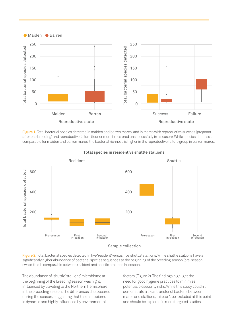

**Figure 1.** Total bacterial species detected in maiden and barren mares, and in mares with reproductive success (pregnant after one breeding) and reproductive failure (four or more times bred unsuccessfully in a season). While species richness is comparable for maiden and barren mares, the bacterial richness is higher in the reproductive failure group in barren mares.



**Total species in resident vs shuttle stallions**

Figure 2. Total bacterial species detected in five 'resident' versus five 'shuttle' stallions. While shuttle stallions have a significantly higher abundance of bacterial species sequences at the beginning of the breeding season (pre-season swab), this is comparable between resident and shuttle stallions in-season.

The abundance of 'shuttle' stallions' microbiome at the beginning of the breeding season was highly influenced by traveling to the Northern Hemisphere in the preceding season. The differences disappeared during the season, suggesting that the microbiome is dynamic and highly influenced by environmental

factors (Figure 2). The findings highlight the need for good hygiene practices to minimise potential biosecurity risks. While this study couldn't demonstrate a clear transfer of bacteria between mares and stallions, this can't be excluded at this point and should be explored in more targeted studies.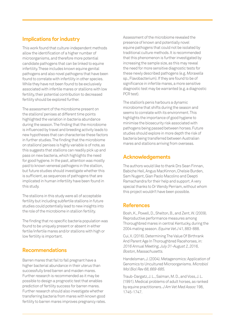### **Implications for industry**

This work found that culture-independent methods allow the identification of a higher number of microorganisms, and therefore more potential candidate pathogens that can be linked to equine infertility. These includes known equine genital pathogens and also novel pathogens that have been found to correlate with infertility in other species. While they have not been found to be exclusively associated with infertile mares or stallions with low fertility, their potential contribution to decreased fertility should be explored further.

The assessment of the microbiome present on the stallions' penises at different time points highlighted the variation in bacteria abundance during the season. The finding that the microbiome is influenced by travel and breeding activity leads to new hypotheses that can characterise these factors in further studies. The finding that the microbiome on stallions' penises is highly variable is of note, as this suggests that stallions can readily pick up and pass on new bacteria, which highlights the need for good hygiene. In the past, attention was mostly paid to known venereal pathogens in the stallion, but future studies should investigate whether this is sufficient, as sequences of pathogens that are implicated in human infertility have been found in this study.

The stallions in this study were all of acceptable fertility but including subfertile stallions in future studies could potentially lead to new insights into the role of the microbiome in stallion fertility.

The finding that no specific bacteria population was found to be uniquely present or absent in either fertile/infertile mares and/or stallions with high or low fertility is important.

#### **Recommendations**

Barren mares that fail to fall pregnant have a higher bacterial abundance in their uterus than successfully bred barren and maiden mares. Further research is recommended as it may be possible to design a prognostic test that enables prediction of fertility success for barren mares. Further research should also investigate whether transferring bacteria from mares with known good fertility to barren mares improves pregnancy rates. Assessment of the microbiome revealed the presence of known and potentially novel equine pathogens that could not be isolated by traditional culture methods. It is recommended that this phenomenon is further investigated by increasing the sample size, as this may reveal the need for more sensitive diagnostic tests for these newly described pathogens (e.g. Moraxella sp., Flavobacterium). If they are found to be of significance in infertile mares, a more sensitive diagnostic test may be warranted (e.g. a diagnostic PCR test).

The stallion's penis harbours a dynamic microbiome that shifts during the season and seems to correlate with its environment. This highlights the importance of good hygiene to minimise the biosecurity risk associated with pathogens being passed between horses. Future studies should explore in more depth the risk of bacteria being transferred between Australian mares and stallions arriving from overseas.

### **Acknowledgements**

The authors would like to thank Drs Sean Finnan, Babiche Heil, Angus MacKinnon, Chelsie Burden, Sam Nugent, Gian Paolo Macolino and Deepti Ramachandra for their help and support. A very special thanks to Dr Wendy Perriam, without whom this project wouldn't have been possible.

#### **References**

Bosh, K., Powell, D., Shelton, B., and Zent, W. (2009). Reproductive performance measures among Thoroughbred mares in central Kentucky, during the 2004 mating season. Equine Vet J 41, 883-888.

Cui, X. (2016). Determining The Value Of Birthrank And Parent Age In Thoroughbred Racehorses, in: 2016 Annual Meeting, July 31-August 2, 2016, Boston, Massachusetts.

Handelsman, J. (2004). Metagenomics: Application of Genomics to Uncultured Microorganisms. Microbiol Mol Biol Rev 68, 669-685.

Traub-Dargatz, J. L., Salman, M. D., and Voss, J. L. (1991). Medical problems of adult horses, as ranked by equine practitioners. J Am Vet Med Assoc 198, 1745-1747.